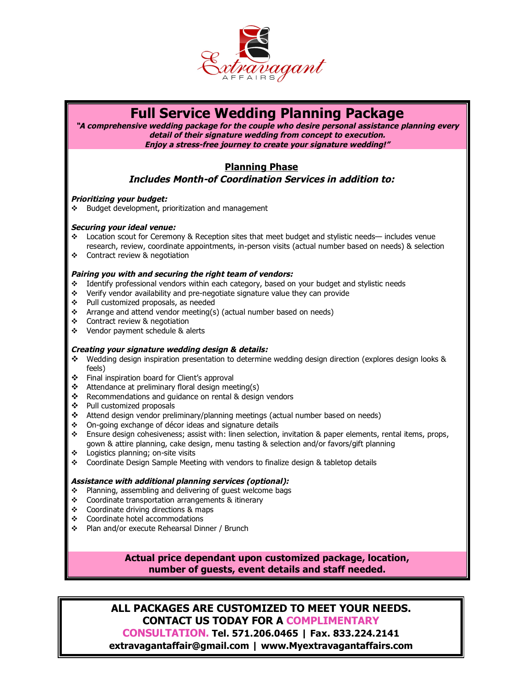

# **Full Service Wedding Planning Package**

**"A comprehensive wedding package for the couple who desire personal assistance planning every detail of their signature wedding from concept to execution. Enjoy a stress-free journey to create your signature wedding!"**

## **Planning Phase**

## **Includes Month-of Coordination Services in addition to:**

### **Prioritizing your budget:**

 $\div$  Budget development, prioritization and management

### **Securing your ideal venue:**

- Location scout for Ceremony & Reception sites that meet budget and stylistic needs— includes venue research, review, coordinate appointments, in-person visits (actual number based on needs) & selection
- Contract review & negotiation

## **Pairing you with and securing the right team of vendors:**

- $\div$  Identify professional vendors within each category, based on your budget and stylistic needs
- Verify vendor availability and pre-negotiate signature value they can provide
- ◆ Pull customized proposals, as needed
- \* Arrange and attend vendor meeting(s) (actual number based on needs)
- Contract review & negotiation
- Vendor payment schedule & alerts

## **Creating your signature wedding design & details:**

- Wedding design inspiration presentation to determine wedding design direction (explores design looks & feels)
- Final inspiration board for Client's approval
- $\triangleleft$  Attendance at preliminary floral design meeting(s)
- \* Recommendations and guidance on rental & design vendors
- Pull customized proposals
- Attend design vendor preliminary/planning meetings (actual number based on needs)
- On-going exchange of décor ideas and signature details
- **Ensure design cohesiveness; assist with: linen selection, invitation & paper elements, rental items, props,** gown & attire planning, cake design, menu tasting & selection and/or favors/gift planning
- Logistics planning; on-site visits
- Coordinate Design Sample Meeting with vendors to finalize design & tabletop details

## **Assistance with additional planning services (optional):**

- \* Planning, assembling and delivering of guest welcome bags
- Coordinate transportation arrangements & itinerary
- ❖ Coordinate driving directions & maps
- Coordinate hotel accommodations
- Plan and/or execute Rehearsal Dinner / Brunch

## **Actual price dependant upon customized package, location, number of guests, event details and staff needed.**

**ALL PACKAGES ARE CUSTOMIZED TO MEET YOUR NEEDS. CONTACT US TODAY FOR A COMPLIMENTARY CONSULTATION. Tel. 571.206.0465 | Fax. 833.224.2141 extravagantaffair@gmail.com | www.Myextravagantaffairs.com**